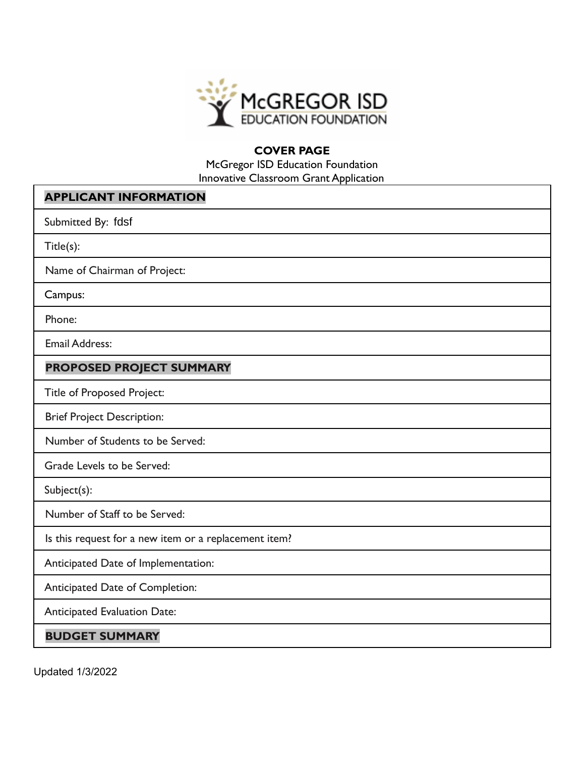

## **COVER PAGE**

McGregor ISD Education Foundation Innovative Classroom Grant Application

| <b>APPLICANT INFORMATION</b>                          |  |  |  |  |
|-------------------------------------------------------|--|--|--|--|
| Submitted By: fdsf                                    |  |  |  |  |
| Title(s):                                             |  |  |  |  |
| Name of Chairman of Project:                          |  |  |  |  |
| Campus:                                               |  |  |  |  |
| Phone:                                                |  |  |  |  |
| <b>Email Address:</b>                                 |  |  |  |  |
| PROPOSED PROJECT SUMMARY                              |  |  |  |  |
| <b>Title of Proposed Project:</b>                     |  |  |  |  |
| <b>Brief Project Description:</b>                     |  |  |  |  |
| Number of Students to be Served:                      |  |  |  |  |
| Grade Levels to be Served:                            |  |  |  |  |
| Subject(s):                                           |  |  |  |  |
| Number of Staff to be Served:                         |  |  |  |  |
| Is this request for a new item or a replacement item? |  |  |  |  |
| Anticipated Date of Implementation:                   |  |  |  |  |
| Anticipated Date of Completion:                       |  |  |  |  |
| <b>Anticipated Evaluation Date:</b>                   |  |  |  |  |
| <b>BUDGET SUMMARY</b>                                 |  |  |  |  |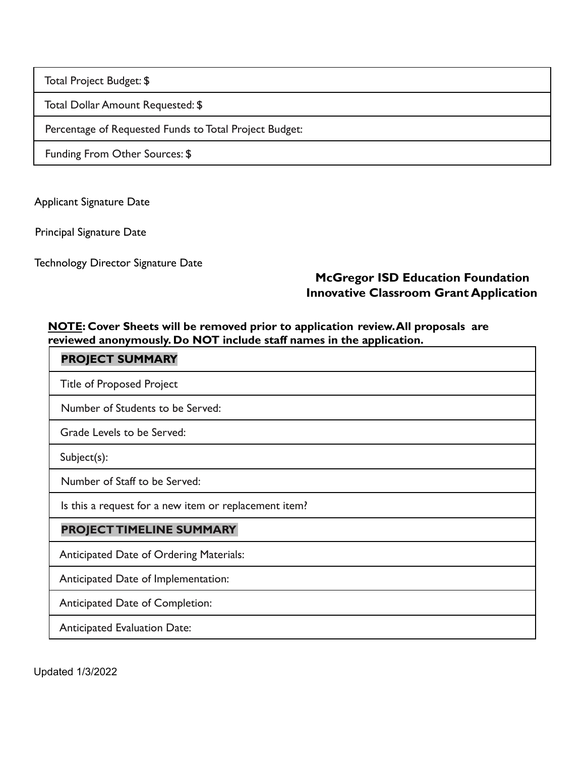Total Project Budget: \$

Total Dollar Amount Requested: \$

Percentage of Requested Funds to Total Project Budget:

Funding From Other Sources: \$

Applicant Signature Date

Principal Signature Date

Technology Director Signature Date

## **McGregor ISD Education Foundation Innovative Classroom Grant Application**

## **NOTE: Cover Sheets will be removed prior to application review.All proposals are reviewed anonymously. Do NOT include staff names in the application.**

| <b>PROJECT SUMMARY</b>                                |  |  |  |  |
|-------------------------------------------------------|--|--|--|--|
| <b>Title of Proposed Project</b>                      |  |  |  |  |
| Number of Students to be Served:                      |  |  |  |  |
| Grade Levels to be Served:                            |  |  |  |  |
| $Subject(s)$ :                                        |  |  |  |  |
| Number of Staff to be Served:                         |  |  |  |  |
| Is this a request for a new item or replacement item? |  |  |  |  |
| PROJECT TIMELINE SUMMARY                              |  |  |  |  |
| <b>Anticipated Date of Ordering Materials:</b>        |  |  |  |  |
| Anticipated Date of Implementation:                   |  |  |  |  |
| Anticipated Date of Completion:                       |  |  |  |  |
| <b>Anticipated Evaluation Date:</b>                   |  |  |  |  |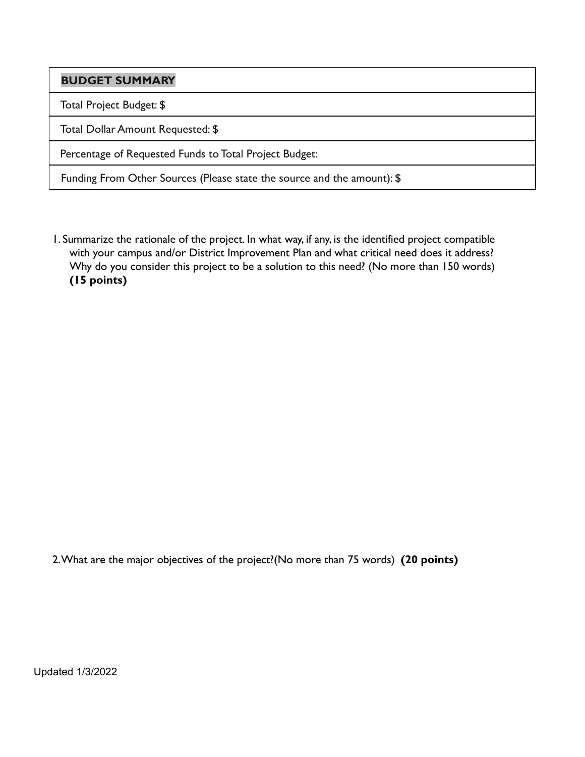**BUDGET SUMMARY**

Total Project Budget: \$

Total Dollar Amount Requested: \$

Percentage of Requested Funds to Total Project Budget:

Funding From Other Sources (Please state the source and the amount): \$

1. Summarize the rationale of the project. In what way, if any, is the identified project compatible with your campus and/or District Improvement Plan and what critical need does it address? Why do you consider this project to be a solution to this need? (No more than 150 words) **(15 points)**

2.What are the major objectives of the project?(No more than 75 words) **(20 points)**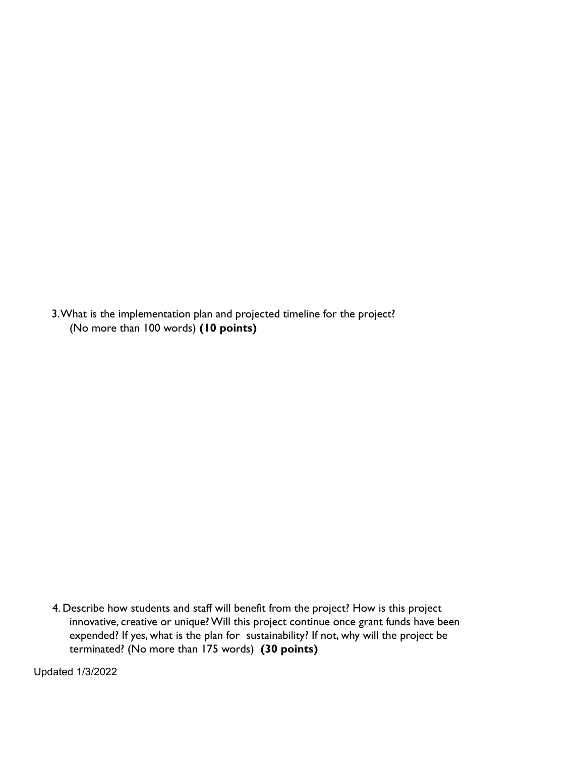3.What is the implementation plan and projected timeline for the project? (No more than 100 words) **(10 points)**

4. Describe how students and staff will benefit from the project? How is this project innovative, creative or unique? Will this project continue once grant funds have been expended? If yes, what is the plan for sustainability? If not, why will the project be terminated? (No more than 175 words) **(30 points)**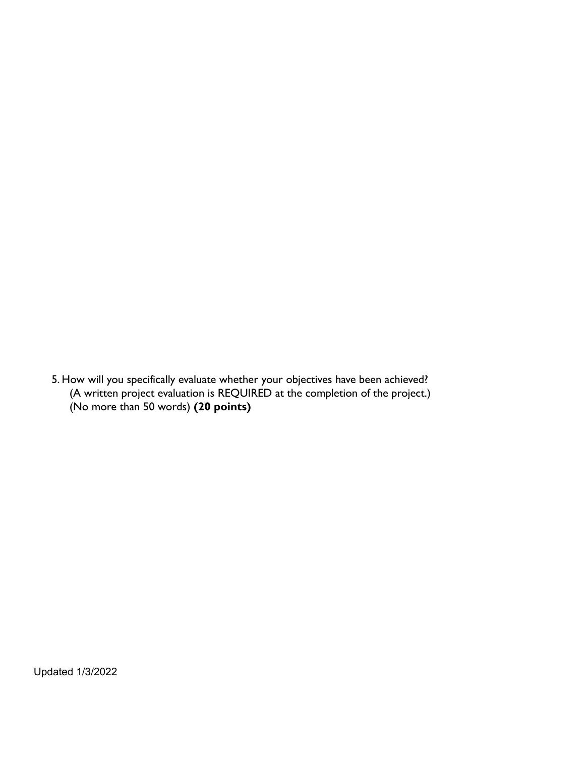5. How will you specifically evaluate whether your objectives have been achieved? (A written project evaluation is REQUIRED at the completion of the project.) (No more than 50 words) **(20 points)**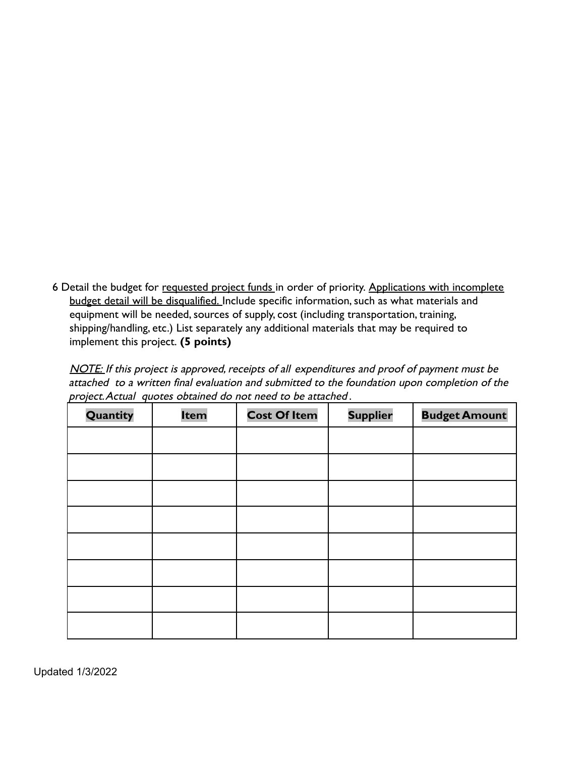6 Detail the budget for requested project funds in order of priority. Applications with incomplete budget detail will be disqualified. Include specific information, such as what materials and equipment will be needed, sources of supply, cost (including transportation, training, shipping/handling, etc.) List separately any additional materials that may be required to implement this project. **(5 points)**

NOTE: If this project is approved, receipts of all expenditures and proof of payment must be attached to a written final evaluation and submitted to the foundation upon completion of the project.Actual quotes obtained do not need to be attached .

| Quantity | Item | <b>Cost Of Item</b> | <b>Supplier</b> | <b>Budget Amount</b> |
|----------|------|---------------------|-----------------|----------------------|
|          |      |                     |                 |                      |
|          |      |                     |                 |                      |
|          |      |                     |                 |                      |
|          |      |                     |                 |                      |
|          |      |                     |                 |                      |
|          |      |                     |                 |                      |
|          |      |                     |                 |                      |
|          |      |                     |                 |                      |